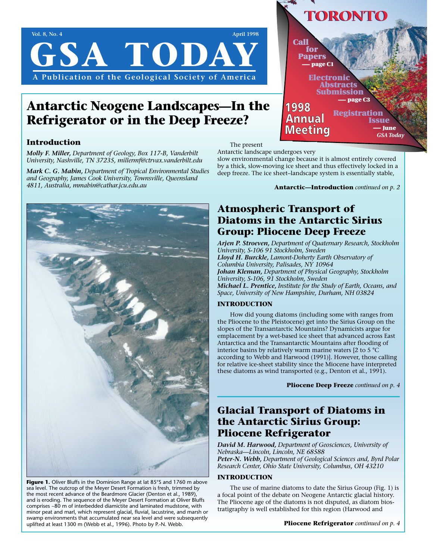# **Vol. 8, No. 4 April 1998 GSA TODA A Publication of the Geological Society of America**

## **Antarctic Neogene Landscapes—In the Refrigerator or in the Deep Freeze?**

### **Introduction**

*Molly F. Miller, Department of Geology, Box 117-B, Vanderbilt University, Nashville, TN 37235, millermf@ctrvax.vanderbilt.edu*

*Mark C. G. Mabin, Department of Tropical Environmental Studies and Geography, James Cook University, Townsville, Queensland 4811, Australia, mmabin@cathar.jcu.edu.au*



Figure 1. Oliver Bluffs in the Dominion Range at lat 85°S and 1760 m above sea level. The outcrop of the Meyer Desert Formation is fresh, trimmed by the most recent advance of the Beardmore Glacier (Denton et al., 1989), and is eroding. The sequence of the Meyer Desert Formation at Oliver Bluffs comprises ~80 m of interbedded diamictite and laminated mudstone, with minor peat and marl, which represent glacial, fluvial, lacustrine, and marsh or swamp environments that accumulated near sea level and were subsequently uplifted at least 1300 m (Webb et al., 1996). Photo by P.-N. Webb.



The present

Antarctic landscape undergoes very slow environmental change because it is almost entirely covered by a thick, slow-moving ice sheet and thus effectively locked in a deep freeze. The ice sheet–landscape system is essentially stable,

**Antarctic—Introduction** *continued on p. 2*

### **Atmospheric Transport of Diatoms in the Antarctic Sirius Group: Pliocene Deep Freeze**

*Arjen P. Stroeven, Department of Quaternary Research, Stockholm University, S-106 91 Stockholm, Sweden Lloyd H. Burckle, Lamont-Doherty Earth Observatory of Columbia University, Palisades, NY 10964 Johan Kleman, Department of Physical Geography, Stockholm University, S-106, 91 Stockholm, Sweden Michael L. Prentice, Institute for the Study of Earth, Oceans, and Space, University of New Hampshire, Durham, NH 03824*

### **INTRODUCTION**

How did young diatoms (including some with ranges from the Pliocene to the Pleistocene) get into the Sirius Group on the slopes of the Transantarctic Mountains? Dynamicists argue for emplacement by a wet-based ice sheet that advanced across East Antarctica and the Transantarctic Mountains after flooding of interior basins by relatively warm marine waters [2 to 5 °C according to Webb and Harwood (1991)]. However, those calling for relative ice-sheet stability since the Miocene have interpreted these diatoms as wind transported (e.g., Denton et al., 1991).

**Pliocene Deep Freeze** *continued on p. 4*

### **Glacial Transport of Diatoms in the Antarctic Sirius Group: Pliocene Refrigerator**

*David M. Harwood, Department of Geosciences, University of Nebraska—Lincoln, Lincoln, NE 68588 Peter-N. Webb, Department of Geological Sciences and, Byrd Polar Research Center, Ohio State University, Columbus, OH 43210*

#### **INTRODUCTION**

The use of marine diatoms to date the Sirius Group (Fig. 1) is a focal point of the debate on Neogene Antarctic glacial history. The Pliocene age of the diatoms is not disputed, as diatom biostratigraphy is well established for this region (Harwood and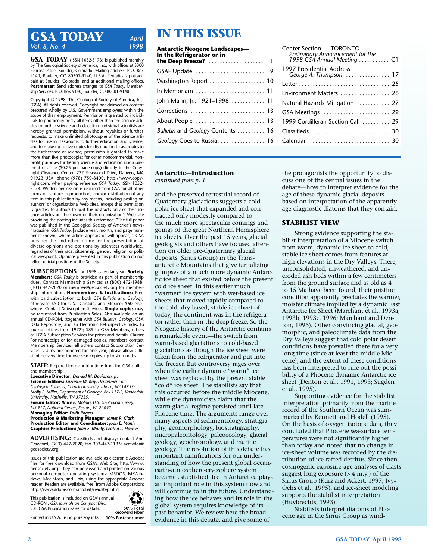### **GSA TODAY** *April* **IN THIS ISSUE** *Vol. 8, No. 4*

**GSA TODAY** (ISSN 1052-5173) is published monthly by The Geological Society of America, Inc., with offices at 3300 Penrose Place, Boulder, Colorado. Mailing address: P.O. Box 9140, Boulder, CO 80301-9140, U.S.A. Periodicals postage paid at Boulder, Colorado, and at additional mailing offices. **Postmaster:** Send address changes to *GSA Today,* Membership Services, P.O. Box 9140, Boulder, CO 80301-9140.

Copyright © 1998, The Geological Society of America, Inc. (GSA). All rights reserved. Copyright not claimed on content prepared wholly by U.S. Government employees within the scope of their employment. Permission is granted to individuals to photocopy freely all items other than the science articles to further science and education. Individual scientists are hereby granted permission, without royalties or further requests, to make unlimited photocopies of the science articles for use in classrooms to further education and science, and to make up to five copies for distribution to associates in the furtherance of science; permission is granted to make more than five photocopies for other noncommercial, nonprofit purposes furthering science and education upon payment of a fee (\$0.25 per page-copy) directly to the Copyright Clearance Center, 222 Rosewood Drive, Danvers, MA 01923 USA, phone (978) 750-8400, http://www.copyright.com; when paying, reference *GSA Today,* ISSN 1052- 5173. Written permission is required from GSA for all other forms of capture, reproduction, and/or distribution of any item in this publication by any means, including posting on authors' or organizational Web sites, except that permission is granted to authors to post the abstracts only of their science articles on their own or their organization's Web site providing the posting includes this reference: "The full paper was published in the Geological Society of America's newsmagazine, *GSA Today,* [include year, month, and page num-ber if known, where article appears or will appear]." GSA provides this and other forums for the presentation of diverse opinions and positions by scientists worldwide, regardless of their race, citizenship, gender, religion, or political viewpoint. Opinions presented in this publication do not reflect official positions of the Society.

**SUBSCRIPTIONS** for 1998 calendar year: **Society Members:** *GSA Today* is provided as part of membership dues. Contact Membership Services at (800) 472-1988, (303) 447-2020 or member@geosociety.org for membership information. **Nonmembers & Institutions:** Free with paid subscription to both *GSA Bulletin* and *Geology,* otherwise \$50 for U.S., Canada, and Mexico; \$60 elsewhere. Contact Subscription Services. **Single copies** may be requested from Publication Sales. Also available on an annual CD-ROM, (together with *GSA Bulletin, Geology,* GSA Data Repository, and an Electronic Retrospective Index to journal articles from 1972); \$89 to GSA Members, others call GSA Subscription Services for prices and details. Claims: For nonreceipt or for damaged copies, members contact Membership Services; all others contact Subscription Services. Claims are honored for one year; please allow sufficient delivery time for overseas copies, up to six months.

**STAFF:** Prepared from contributions from the GSA staff and membership.

**Executive Director:** *Donald M. Davidson, Jr.* **Science Editors:** *Suzanne M. Kay, Department of Geological Sciences, Cornell University, Ithaca, NY 14853; Molly F. Miller, Department of Geology, Box 117-B, Vanderbilt University, Nashville, TN 37235.*

**Forum Editor:** *Bruce F. Molnia, U.S. Geological Survey, MS 917, National Center, Reston, VA 22092*

**Managing Editor:** *Faith Rogers* **Production & Marketing Manager:** *James R. Clark* **Production Editor and Coordinator:** *Joan E. Manly* **Graphics Production:** *Joan E. Manly, Leatha L. Flowers*

**ADVERTISING:** Classifieds and display: contact Ann Crawford, (303) 447-2020; fax 303-447-1133; acrawfor@ geosociety.org.

Issues of this publication are available as electronic Acrobat files for free download from GSA's Web Site, http://www. geosociety.org. They can be viewed and printed on various personal computer operating systems: MSDOS, MSWindows, Macintosh, and Unix, using the appropriate Acrobat reader. Readers are available, free, from Adobe Corporation: http://www.adobe.com/acrobat/readstep.html.

This publication is included on GSA's annual CD-ROM, *GSA Journals on Compact Disc.*  Call GSA Publication Sales for details.



Printed in U.S.A. using pure soy inks. **10% Postconsumer**

#### **Antarctic Neogene Landscapes— In the Refrigerator or in the Deep Freeze?** .................... 1 GSAF Update ......................... 9

| Washington Report  10             |  |
|-----------------------------------|--|
| In Memoriam  11                   |  |
| John Mann, Jr., 1921–1998  11     |  |
| Corrections  13                   |  |
| About People  13                  |  |
| Bulletin and Geology Contents  16 |  |
| Geology Goes to Russia 16         |  |

#### Center Section — TORONTO *Preliminary Announcement for the 1998 GSA Annual Meeting* . . . . . . . . . . . C1 1997 Presidential Address *George A. Thompson* . . . . . . . . . . . . . . . . 17 Letter . . . . . . . . . . . . . . . . . . . . . . . . . . . . . . . . . 25 Environment Matters ................... 26 Natural Hazards Mitigation . . . . . . . . . . . . 27 GSA Meetings ........................... 29 1999 Cordilleran Section Call . . . . . . . . . . 29 Classifieds . . . . . . . . . . . . . . . . . . . . . . . . . . . . 30 Calendar . . . . . . . . . . . . . . . . . . . . . . . . . . . . . 30

#### **Antarctic—Introduction**

*continued from p. 1*

and the preserved terrestrial record of Quaternary glaciations suggests a cold polar ice sheet that expanded and contracted only modestly compared to the much more spectacular comings and goings of the great Northern Hemisphere ice sheets. Over the past 15 years, glacial geologists and others have focused attention on older pre-Quaternary glacial deposits (Sirius Group) in the Transantarctic Mountains that give tantalizing glimpses of a much more dynamic Antarctic ice sheet that existed before the present cold ice sheet. In this earlier much "warmer" ice system with wet-based ice sheets that moved rapidly compared to the cold, dry-based, stable ice sheet of today, the continent was in the refrigerator rather than in the deep freeze. So the Neogene history of the Antarctic contains a remarkable event—the switch from warm-based glaciations to cold-based glaciations as though the ice sheet were taken from the refrigerator and put into the freezer. But controversy rages over when the earlier dynamic "warm" ice sheet was replaced by the present stable "cold" ice sheet. The stabilists say that this occurred before the middle Miocene, while the dynamicists claim that the warm glacial regime persisted until late Pliocene time. The arguments range over many aspects of sedimentology, stratigraphy, geomorphology, biostratigraphy, micropaleontology, paleoecology, glacial geology, geochronology, and marine geology. The resolution of this debate has important ramifications for our understanding of how the present global oceanearth-atmosphere-cryosphere system became established. Ice in Antarctica plays an important role in this system now and will continue to in the future. Understanding how the ice behaves and its role in the global system requires knowledge of its past behavior. We review here the broad evidence in this debate, and give some of

the protagonists the opportunity to discuss one of the central issues in the debate—how to interpret evidence for the age of these dynamic glacial deposits based on interpretation of the apparently age-diagnostic diatoms that they contain.

#### **STABILIST VIEW**

Strong evidence supporting the stabilist interpretation of a Miocene switch from warm, dynamic ice sheet to cold, stable ice sheet comes from features at high elevations in the Dry Valleys. There, unconsolidated, unweathered, and uneroded ash beds within a few centimeters from the ground surface and as old as 4 to 15 Ma have been found; their pristine condition apparently precludes the warmer, moister climate implied by a dynamic East Antarctic Ice Sheet (Marchant et al., 1993a, 1993b, 1993c, 1996; Marchant and Denton, 1996). Other convincing glacial, geomorphic, and paleoclimate data from the Dry Valleys suggest that cold polar desert conditions have prevailed there for a very long time (since at least the middle Miocene), and the extent of these conditions has been interpreted to rule out the possibility of a Pliocene dynamic Antarctic ice sheet (Denton et al., 1991, 1993; Sugden et al., 1995).

Supporting evidence for the stabilist interpretation primarily from the marine record of the Southern Ocean was summarized by Kennett and Hodell (1995). On the basis of oxygen isotope data, they concluded that Pliocene sea-surface temperatures were not significantly higher than today and noted that no change in ice-sheet volume was recorded by the distribution of ice-rafted detritus. Since then, cosmogenic exposure-age analyses of clasts suggest long exposure  $(> 4 \text{ m}$ .y.) of the Sirius Group (Kurz and Ackert, 1997; Ivy-Ochs et al., 1995), and ice-sheet modeling supports the stabilist interpretation (Huybrechts, 1993).

Stabilists interpret diatoms of Pliocene age in the Sirius Group as wind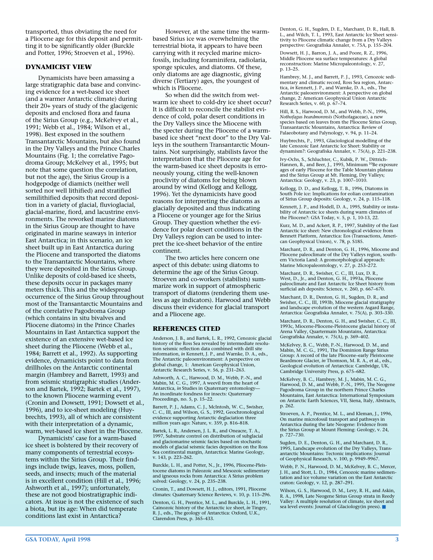transported, thus obviating the need for a Pliocene age for this deposit and permitting it to be significantly older (Burckle and Potter, 1996; Stroeven et al., 1996).

#### **DYNAMICIST VIEW**

Dynamicists have been amassing a large stratigraphic data base and convincing evidence for a wet-based ice sheet (and a warmer Antarctic climate) during their 20+ years of study of the glacigenic deposits and enclosed flora and fauna of the Sirius Group (e.g., McKelvey et al., 1991; Webb et al., 1984; Wilson et al., 1998). Best exposed in the southern Transantarctic Mountains, but also found in the Dry Valleys and the Prince Charles Mountains (Fig. 1; the correlative Pagodroma Group; McKelvey et al., 1995; but note that some question the correlation, but not the age), the Sirius Group is a hodgepodge of diamicts (neither well sorted nor well lithified) and stratified semilithified deposits that record deposition in a variety of glacial, fluvioglacial, glacial-marine, fiord, and lacustrine environments. The reworked marine diatoms in the Sirius Group are thought to have originated in marine seaways in interior East Antarctica; in this scenario, an ice sheet built up in East Antarctica during the Pliocene and transported the diatoms to the Transantarctic Mountains, where they were deposited in the Sirius Group. Unlike deposits of cold-based ice sheets, these deposits occur in packages many meters thick. This and the widespread occurrence of the Sirius Group throughout most of the Transantarctic Mountains and of the correlative Pagodroma Group (which contains in situ bivalves and Pliocene diatoms) in the Prince Charles Mountains in East Antarctica support the existence of an extensive wet-based ice sheet during the Pliocene (Webb et al., 1984; Barrett et al., 1992). As supporting evidence, dynamicists point to data from drillholes on the Antarctic continental margin (Hambrey and Barrett, 1993) and from seismic stratigraphic studies (Anderson and Bartek, 1992; Bartek et al., 1997), to the known Pliocene warming event (Cronin and Dowsett, 1991; Dowsett et al., 1996), and to ice-sheet modeling (Huybrechts, 1993), all of which are consistent with their interpretation of a dynamic, warm, wet-based ice sheet in the Pliocene.

Dynamicists' case for a warm-based ice sheet is bolstered by their recovery of many components of terrestrial ecosystems within the Sirius Group. Their findings include twigs, leaves, moss, pollen, seeds, and insects; much of the material is in excellent condition (Hill et al., 1996; Ashworth et al., 1997); unfortunately, these are not good biostratigraphic indicators. At issue is not the existence of such a biota, but its age: When did temperate conditions last exist in Antarctica?

However, at the same time the warmbased Sirius ice was overwhelming the terrestrial biota, it appears to have been carrying with it recycled marine microfossils, including foraminifera, radiolaria, sponge spicules, and diatoms. Of these, only diatoms are age diagnostic, giving diverse (Tertiary) ages, the youngest of which is Pliocene.

So when did the switch from wetwarm ice sheet to cold-dry ice sheet occur? It is difficult to reconcile the stabilist evidence of cold, polar desert conditions in the Dry Valleys since the Miocene with the specter during the Pliocene of a warmbased ice sheet "next door" to the Dry Valleys in the southern Transantarctic Mountains. Not surprisingly, stabilists favor the interpretation that the Pliocene age for the warm-based ice sheet deposits is erroneously young, citing the well-known proclivity of diatoms for being blown around by wind (Kellogg and Kellogg, 1996). Yet the dynamicists have good reasons for interpreting the diatoms as glacially deposited and thus indicating a Pliocene or younger age for the Sirius Group. They question whether the evidence for polar desert conditions in the Dry Valleys region can be used to interpret the ice-sheet behavior of the entire continent.

The two articles here concern one aspect of this debate: using diatoms to determine the age of the Sirius Group. Stroeven and co-workers (stabilists) summarize work in support of atmospheric transport of diatoms (rendering them useless as age indicators). Harwood and Webb discuss their evidence for glacial transport and a Pliocene age.

#### **REFERENCES CITED**

Anderson, J. B., and Bartek, L. R., 1992, Cenozoic glacial history of the Ross Sea revealed by intermediate resolution seismic reflection data combined with drill site information, *in* Kennett, J. P., and Warnke, D. A., eds., The Antarctic paleoenvironment: A perspective on global change, 1: American Geophysical Union, Antarctic Research Series, v. 56, p. 231–263.

Ashworth, A. C., Harwood, D. M., Webb, P.-N., and Mabin, M. C. G., 1997, A weevil from the heart of Antarctica, *in* Studies in Quaternary entomology— An inordinate fondness for insects: Quaternary Proceedings, no. 5, p. 15–22.

Barrett, P. J., Adams, C. J., McIntosh, W. C., Swisher, C. C., III, and Wilson, G. S., 1992, Geochronological evidence supporting Antarctic deglaciation three million years ago: Nature, v. 359, p. 816–818.

Bartek, L. R., Andersen, J. L. R., and Oneacre, T. A., 1997, Substrate control on distribution of subglacial and glaciomarine seismic facies based on stochastic models of glacial seismic facies deposition on the Ross Sea continental margin, Antarctica: Marine Geology, v. 143, p. 223–262.

Burckle, L. H., and Potter, N., Jr., 1996, Pliocene-Pleis-tocene diatoms in Paleozoic and Mesozoic sedimentary and igneous rocks from Antarctica: A Sirius problem solved: Geology, v. 24, p. 235–238.

Cronin, T., and Dowsett, H. J., editors, 1991, Pliocene climates: Quaternary Science Reviews, v. 10, p. 115–296.

Denton, G. H., Prentice, M. L., and Burckle, L. H., 1991, Cainozoic history of the Antarctic ice sheet, *in* Tingey, R. J., eds., The geology of Antarctica: Oxford, U.K., Clarendon Press, p. 365–433.

Denton, G. H., Sugden, D. E., Marchant, D. R., Hall, B. L., and Wilch, T. I., 1993, East Antarctic Ice Sheet sensi-tivity to Pliocene climatic change from a Dry Valleys perspective: Geografiska Annaler, v. 75A, p. 155–204.

Dowsett, H. J., Barron, J. A., and Poore, R. Z., 1996, Middle Pliocene sea surface temperatures: A global reconstruction: Marine Micropaleontology, v. 27, p. 13–25.

Hambrey, M. J., and Barrett, P. J., 1993, Cenozoic sedimentary and climatic record, Ross Sea region, Antarctica, *in* Kennett, J. P., and Warnke, D. A., eds., The Antarctic paleoenvironment: A perspective on global change, 2: American Geophysical Union Antarctic Research Series, v. 60, p. 67–74.

Hill, R. S., Harwood, D. M., and Webb, P.-N., 1996, *Nothofagus beardmorensis* (Nothofagaceae), a new species based on leaves from the Pliocene Sirius Group, Transantarctic Mountains, Antarctica: Review of Palaeobotany and Palynology, v. 94, p. 11–24.

Huybrechts, P., 1993, Glaciological modelling of the late Cenozoic East Antarctic Ice Sheet: Stability or dynamism?: Geografiska Annaler, v. 75(A), p. 221-238.

Ivy-Ochs, S., Schluchter, C., Kubik, P. W., Dittrich-Hannen, B., and Beer, J., 1995, Minimum 10Be exposure ages of early Pliocene for the Table Mountain plateau and the Sirius Group at Mt. Fleming, Dry Valleys; Antarctica: Geology, v. 23, p. 1007–1010.

Kellogg, D. D., and Kellogg, T. B., 1996, Diatoms in South Pole ice: Implications for eolian contamination of Sirius Group deposits: Geology, v. 24, p. 115–118.

Kennett, J. P., and Hodell, D. A., 1995, Stability or instability of Antarctic ice sheets during warm climates of the Pliocene?: GSA Today, v. 5, p. 1, 10-13, 22.

Kurz, M. D., and Ackert, R. P., 1997, Stability of the East Antarctic ice sheet: New chronological evidence from Bennett Platform, Antarctica: Eos (Transactions, American Geophysical Union), v. 78, p. S185.

Marchant, D. R., and Denton, G. H., 1996, Miocene and Pliocene paleoclimate of the Dry Valleys region, southern Victoria Land: A geomorphological approach: Marine Micropaleontology, v. 27, p. 253-272.

Marchant, D. R., Swisher, C. C., III, Lux, D. R., West, D., Jr., and Denton, G. H., 1993a, Pliocene paleoclimate and East Antarctic Ice Sheet history from surficial ash deposits: Science, v. 260, p. 667–670.

Marchant, D. R., Denton, G. H., Sugden, D. R., and Swisher, C. C., III, 1993b, Miocene glacial stratigraphy and landscape evolution of the western Asgard Range, Antarctica: Geografiska Annaler, v. 75(A), p. 303–330.

Marchant, D. R., Denton, G. H., and Swisher, C. C., III, 1993c, Miocene-Pliocene-Pleistocene glacial history of Arena Valley, Quartermain Mountains, Antarctica: Geografiska Annaler, v. 75(A), p. 369–402.

McKelvey, B. C., Webb, P.-N., Harwood, D. M., and Mabin, M. C. G., 1991, The Dominion Range Sirius Group: A record of the late Pliocene–early Pleistocene Beardmore Glacier, *in* Thomson, M. R. A., et al., eds., Geological evolution of Antarctica: Cambridge, UK, Cambridge University Press, p. 675–682.

McKelvey, B. C., Hambrey, M. J., Mabin, M. C. G., Harwood, D. M., and Webb, P.-N., 1995, The Neogene Pagodroma Group in the northern Prince Charles Mountains, East Antarctica: International Symposium on Antarctic Earth Sciences, VII, Siena, Italy, Abstracts, p. 262.

Stroeven, A. P., Prentice, M. L., and Kleman, J., 1996, On marine microfossil transport and pathways in Antarctica during the late Neogene: Evidence from the Sirius Group at Mount Fleming: Geology, v. 24, p. 727–730.

Sugden, D. E., Denton, G. H., and Marchant, D. R., 1995, Landscape evolution of the Dry Valleys, Transantarctic Mountains: Tectonic implications: Journal of Geophysical Research, v. 100, p. 9949–9967.

Webb, P. N., Harwood, D. M., McKelvey, B. C., Mercer, J. H., and Stott, L. D., 1984, Cenozoic marine sedimentation and ice volume variation on the East Antarctic craton: Geology, v. 12, p. 287–291.

Wilson, G. S., Harwood, D. M., Levy, R. H., and Askin, R. A., 1998, Late Neogene Sirius Group strata in Reedy Valley: A multiple resolution of climate, ice sheet and sea level events: Journal of Glaciology(in press). ■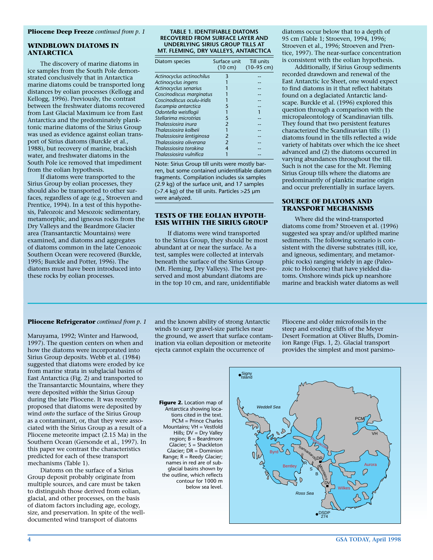#### **WINDBLOWN DIATOMS IN ANTARCTICA**

The discovery of marine diatoms in ice samples from the South Pole demonstrated conclusively that in Antarctica marine diatoms could be transported long distances by eolian processes (Kellogg and Kellogg, 1996). Previously, the contrast between the freshwater diatoms recovered from Last Glacial Maximum ice from East Antarctica and the predominately planktonic marine diatoms of the Sirius Group was used as evidence against eolian transport of Sirius diatoms (Burckle et al., 1988), but recovery of marine, brackish water, and freshwater diatoms in the South Pole ice removed that impediment from the eolian hypothesis.

If diatoms were transported to the Sirius Group by eolian processes, they should also be transported to other surfaces, regardless of age (e.g., Stroeven and Prentice, 1994). In a test of this hypothesis, Paleozoic and Mesozoic sedimentary, metamorphic, and igneous rocks from the Dry Valleys and the Beardmore Glacier area (Transantarctic Mountains) were examined, and diatoms and aggregates of diatoms common in the late Cenozoic Southern Ocean were recovered (Burckle, 1995; Burckle and Potter, 1996). The diatoms must have been introduced into these rocks by eolian processes.

#### **TABLE 1. IDENTIFIABLE DIATOMS RECOVERED FROM SURFACE LAYER AND UNDERLYING SIRIUS GROUP TILLS AT MT. FLEMING, DRY VALLEYS, ANTARCTICA**

| Diatom species             | Surface unit      | Till units   |
|----------------------------|-------------------|--------------|
|                            | $(10 \text{ cm})$ | $(10-95$ cm) |
| Actinocyclus actinochilus  | 3                 |              |
| Actinocyclus ingens        |                   |              |
| Actinocyclus senarius      |                   |              |
| Coscinodiscus marginatus   |                   |              |
| Coscinodiscus oculu-iridis |                   |              |
| Eucampia antarctica        | 5                 |              |
| Odontella weisflogii       |                   |              |
| Stellarima microtrias      | 5                 |              |
| Thalassiosira inura        | 2                 |              |
| Thalassiosira kolbeii      |                   |              |
| Thalassiosira lentiginosa  | 2                 |              |
| Thalassiosira oliverana    | $\mathfrak{p}$    |              |
| Thalassiosira torokina     | 4                 |              |
| Thalassiosira vulnifica    |                   |              |
|                            |                   |              |

Note: Sirius Group till units were mostly barren, but some contained unidentifiable diatom fragments. Compilation includes six samples (2.9 kg) of the surface unit, and 17 samples (>7.4 kg) of the till units. Particles >25 µm were analyzed.

#### **TESTS OF THE EOLIAN HYPOTH-ESIS WITHIN THE SIRIUS GROUP**

If diatoms were wind transported to the Sirius Group, they should be most abundant at or near the surface. As a test, samples were collected at intervals beneath the surface of the Sirius Group (Mt. Fleming, Dry Valleys). The best preserved and most abundant diatoms are in the top 10 cm, and rare, unidentifiable

diatoms occur below that to a depth of 95 cm (Table 1; Stroeven, 1994, 1996; Stroeven et al., 1996; Stroeven and Prentice, 1997). The near-surface concentration is consistent with the eolian hypothesis.

Additionally, if Sirius Group sediments recorded drawdown and renewal of the East Antarctic Ice Sheet, one would expect to find diatoms in it that reflect habitats found on a deglaciated Antarctic landscape. Burckle et al. (1996) explored this question through a comparison with the micropaleontology of Scandinavian tills. They found that two persistent features characterized the Scandinavian tills: (1) diatoms found in the tills reflected a wide variety of habitats over which the ice sheet advanced and (2) the diatoms occurred in varying abundances throughout the till. Such is not the case for the Mt. Fleming Sirius Group tills where the diatoms are predominantly of planktic marine origin and occur preferentially in surface layers.

#### **SOURCE OF DIATOMS AND TRANSPORT MECHANISMS**

Where did the wind-transported diatoms come from? Stroeven et al. (1996) suggested sea spray and/or uplifted marine sediments. The following scenario is consistent with the diverse substrates (till, ice, and igneous, sedimentary, and metamorphic rocks) ranging widely in age (Paleozoic to Holocene) that have yielded diatoms. Onshore winds pick up nearshore marine and brackish water diatoms as well

#### **Pliocene Refrigerator** *continued from p. 1*

Maruyama, 1992; Winter and Harwood, 1997). The question centers on when and how the diatoms were incorporated into Sirius Group deposits. Webb et al. (1984) suggested that diatoms were eroded by ice from marine strata in subglacial basins of East Antarctica (Fig. 2) and transported to the Transantarctic Mountains, where they were deposited *within* the Sirius Group during the late Pliocene. It was recently proposed that diatoms were deposited by wind *onto* the surface of the Sirius Group as a contaminant, or, that they were associated with the Sirius Group as a result of a Pliocene meteorite impact (2.15 Ma) in the Southern Ocean (Gersonde et al., 1997). In this paper we contrast the characteristics predicted for each of these transport mechanisms (Table 1).

Diatoms on the surface of a Sirius Group deposit probably originate from multiple sources, and care must be taken to distinguish those derived from eolian, glacial, and other processes, on the basis of diatom factors including age, ecology, size, and preservation. In spite of the welldocumented wind transport of diatoms

and the known ability of strong Antarctic winds to carry gravel-size particles near the ground, we assert that surface contamination via eolian deposition or meteorite ejecta cannot explain the occurrence of

Pliocene and older microfossils in the steep and eroding cliffs of the Meyer Desert Formation at Oliver Bluffs, Dominion Range (Figs. 1, 2). Glacial transport provides the simplest and most parsimo-

**Figure 2.** Location map of Antarctica showing locations cited in the text. PCM = Prince Charles Mountains; VH = Vestfold Hills; DV = Dry Valley  $region; B =$  Beardmore Glacier; S = Shackleton Glacier; DR = Dominion Range; R = Reedy Glacier; names in red are of subglacial basins shown by the outline, which reflects contour for 1000 m below sea level.

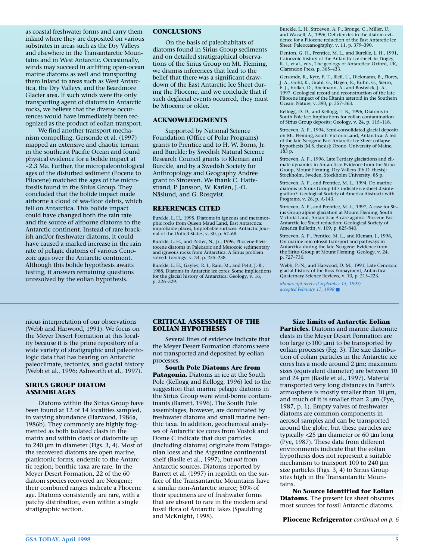as coastal freshwater forms and carry them inland where they are deposited on various substrates in areas such as the Dry Valleys and elsewhere in the Transantarctic Mountains and in West Antarctic. Occasionally, winds may succeed in airlifting open-ocean marine diatoms as well and transporting them inland to areas such as West Antarctica, the Dry Valleys, and the Beardmore Glacier area. If such winds were the only transporting agent of diatoms in Antarctic rocks, we believe that the diverse occurrences would have immediately been recognized as the product of eolian transport.

We find another transport mechanism compelling. Gersonde et al. (1997) mapped an extensive and chaotic terrain in the southeast Pacific Ocean and found physical evidence for a bolide impact at ~2.3 Ma. Further, the micropaleontological ages of the disturbed sediment (Eocene to Pliocene) matched the ages of the microfossils found in the Sirius Group. They concluded that the bolide impact made airborne a cloud of sea-floor debris, which fell on Antarctica. This bolide impact could have changed both the rain rate and the source of airborne diatoms to the Antarctic continent. Instead of rare brackish and/or freshwater diatoms, it could have caused a marked increase in the rain rate of pelagic diatoms of various Cenozoic ages over the Antarctic continent. Although this bolide hypothesis awaits testing, it answers remaining questions unresolved by the eolian hypothesis.

#### **CONCLUSIONS**

On the basis of paleohabitats of diatoms found in Sirius Group sediments and on detailed stratigraphical observations of the Sirius Group on Mt. Fleming, we dismiss inferences that lead to the belief that there was a significant drawdown of the East Antarctic Ice Sheet during the Pliocene, and we conclude that if such deglacial events occurred, they must be Miocene or older.

#### **ACKNOWLEDGMENTS**

Supported by National Science Foundation (Office of Polar Programs) grants to Prentice and to H. W. Borns, Jr. and Burckle; by Swedish Natural Science Research Council grants to Kleman and Burckle, and by a Swedish Society for Anthropology and Geography Andrée grant to Stroeven. We thank C. Hattestrand, P. Jansson, W. Karlén, J.-O. Näslund, and G. Rosqvist.

#### **REFERENCES CITED**

Burckle, L. H., 1995, Diatoms in igneous and metamorphic rocks from Queen Maud Land, East Antarctica: improbable places, Improbable surfaces: Antarctic Journal of the United States, v. 30, p. 67–68.

Burckle, L. H., and Potter, N., Jr., 1996, Pliocene-Pleis-tocene diatoms in Paleozoic and Mesozoic sedimentary and igneous rocks from Antarctica: A Sirius problem solved: Geology, v. 24, p. 235–238.

Burckle, L. H., Gayley, R. I., Ram, M., and Petit, J.-R., 1988, Diatoms in Antarctic ice cores: Some implications for the glacial history of Antarctica: Geology, v. 16, p. 326–329.

Burckle, L. H., Stroeven, A. P., Bronge, C., Miller, U., and Wassell, A., 1996, Deficiencies in the diatom evidence for a Pliocene reduction of the East Antarctic Ice Sheet: Paleoceanography, v. 11, p. 379–390.

Denton, G. H., Prentice, M. L., and Burckle, L. H., 1991, Cainozoic history of the Antarctic ice sheet, *in* Tingey, R. J., et al., eds., The geology of Antarctica: Oxford, UK, Clarendon Press, p. 365–433.

Gersonde, R., Kyte, F. T., Bleil, U., Diekmann, B., Flores, J. A., Gohl, K., Grahl, G., Hagen, R., Kuhn, G., Sierro, F. J., Volker, D., Abelmann, A., and Bostwick, J. A., 1997, Geological record and reconstruction of the late Pliocene impact of the Eltanin asteroid in the Southern Ocean: Nature, v. 390, p. 357–363.

Kellogg, D. D., and Kellogg, T. B., 1996, Diatoms in South Pole ice: Implications for eolian contamination of Sirius Group deposits: Geology, v. 24, p. 115–118.

Stroeven, A. P., 1994, Semi-consolidated glacial deposits on Mt. Fleming, South Victoria Land, Antarctica: A test of the late Neogene East Antarctic Ice Sheet collapse hypothesis [M.S. thesis]: Orono, University of Maine, 183 p.

Stroeven, A. P., 1996, Late Tertiary glaciations and climate dynamics in Antarctica: Evidence from the Sirius Group, Mount Fleming, Dry Valleys [Ph.D. thesis]: Stockholm, Sweden, Stockholm University, 85 p.

Stroeven, A. P., and Prentice, M. L., 1994, Do marine diatoms in Sirius Group tills indicate ice sheet disintegration?: Geological Society of America Abstracts with Programs, v. 26, p. A-143.

Stroeven, A. P., and Prentice, M. L., 1997, A case for Sirius Group alpine glaciation at Mount Fleming, South Victoria Land, Antarctica: A case against Pliocene East Antarctic Ice Sheet reduction: Geological Society of America Bulletin, v. 109, p. 825-840.

Stroeven, A. P., Prentice, M. L., and Kleman, J., 1996, On marine microfossil transport and pathways in Antarctica during the late Neogene: Evidence from the Sirius Group at Mount Fleming: Geology, v. 24, p. 727–730.

Webb, P.-N., and Harwood, D. M., 1991, Late Cenozoic glacial history of the Ross Embayment, Antarctica: Quaternary Science Reviews, v. 10, p. 215–223.

*Manuscript received September 15, 1997; accepted February 17, 1998* ■

nious interpretation of our observations (Webb and Harwood, 1991). We focus on the Meyer Desert Formation at this locality because it is the prime repository of a wide variety of stratigraphic and paleontologic data that has bearing on Antarctic paleoclimate, tectonics, and glacial history (Webb et al., 1996; Ashworth et al., 1997).

#### **SIRIUS GROUP DIATOM ASSEMBLAGES**

Diatoms within the Sirius Group have been found at 12 of 14 localities sampled, in varying abundance (Harwood, 1986a, 1986b). They commonly are highly fragmented as both isolated clasts in the matrix and within clasts of diatomite up to 240 µm in diameter (Figs. 3, 4). Most of the recovered diatoms are open marine, planktonic forms, endemic to the Antarctic region; benthic taxa are rare. In the Meyer Desert Formation, 22 of the 60 diatom species recovered are Neogene; their combined ranges indicate a Pliocene age. Diatoms consistently are rare, with a patchy distribution, even within a single stratigraphic section.

#### **CRITICAL ASSESSMENT OF THE EOLIAN HYPOTHESIS**

Several lines of evidence indicate that the Meyer Desert Formation diatoms were not transported and deposited by eolian processes.

**South Pole Diatoms Are from Patagonia.** Diatoms in ice at the South Pole (Kellogg and Kellogg, 1996) led to the suggestion that marine pelagic diatoms in the Sirius Group were wind-borne contaminants (Barrett, 1996). The South Pole assemblages, however, are dominated by freshwater diatoms and small marine benthic taxa. In addition, geochemical analyses of Antarctic ice cores from Vostok and Dome C indicate that dust particles (including diatoms) originate from Patagonian loess and the Argentine continental shelf (Basile et al., 1997), but *not* from Antarctic sources. Diatoms reported by Barrett et al. (1997) in regolith on the surface of the Transantarctic Mountains have a similar non-Antarctic source; 50% of their specimens are of freshwater forms that are absent to rare in the modern and fossil flora of Antarctic lakes (Spaulding and McKnight, 1998).

#### **Size limits of Antarctic Eolian**

**Particles.** Diatoms and marine diatomite clasts in the Meyer Desert Formation are too large  $(>100 \mu m)$  to be transported by eolian processes (Fig. 3). The size distribution of eolian particles in the Antarctic ice cores has a mode around  $2 \mu m$ ; maximum sizes (equivalent diameter) are between 10 and 24 µm (Basile et al., 1997). Material transported very long distances in Earth's atmosphere is mostly smaller than  $10 \mu m$ , and much of it is smaller than  $2 \mu m$  (Pye, 1987, p. 1). Empty valves of freshwater diatoms are common components in aerosol samples and can be transported around the globe, but these particles are typically <25 µm diameter or 60 µm long (Pye, 1987). These data from different environments indicate that the eolian hypothesis does not represent a suitable mechanism to transport 100 to 240  $\mu$ m size particles (Figs. 3, 4) to Sirius Group sites high in the Transantarctic Mountains.

**No Source Identified for Eolian Diatoms.** The present ice sheet obscures most sources for fossil Antarctic diatoms.

**Pliocene Refrigerator** *continued on p. 6*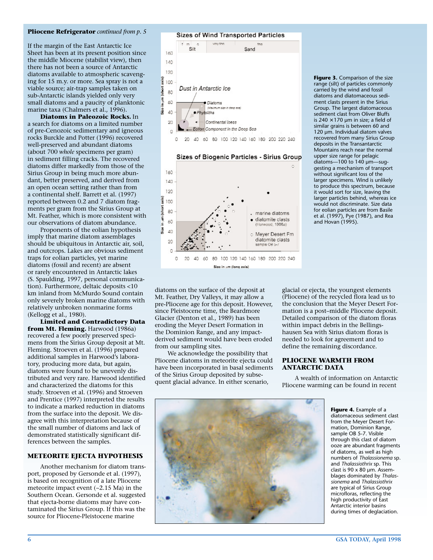#### **Pliocene Refrigerator** *continued from p. 5*

If the margin of the East Antarctic Ice Sheet has been at its present position since the middle Miocene (stabilist view), then there has not been a source of Antarctic diatoms available to atmospheric scavenging for 15 m.y. or more. Sea spray is not a viable source; air-trap samples taken on sub-Antarctic islands yielded only very small diatoms and a paucity of planktonic marine taxa (Chalmers et al., 1996).

**Diatoms in Paleozoic Rocks.** In a search for diatoms on a limited number of pre-Cenozoic sedimentary and igneous rocks Burckle and Potter (1996) recovered well-preserved and abundant diatoms (about 700 *whole* specimens per gram) in sediment filling cracks. The recovered diatoms differ markedly from those of the Sirius Group in being much more abundant, better preserved, and derived from an open ocean setting rather than from a continental shelf. Barrett et al. (1997) reported between 0.2 and 7 diatom fragments per gram from the Sirius Group at Mt. Feather, which is more consistent with our observations of diatom abundance.

Proponents of the eolian hypothesis imply that marine diatom assemblages should be ubiquitous in Antarctic air, soil, and outcrops. Lakes are obvious sediment traps for eolian particles, yet marine diatoms (fossil and recent) are absent or rarely encountered in Antarctic lakes (S. Spaulding, 1997, personal communication). Furthermore, deltaic deposits <10 km inland from McMurdo Sound contain only severely broken marine diatoms with relatively unbroken nonmarine forms (Kellogg et al., 1980).

**Limited and Contradictory Data from Mt. Fleming.** Harwood (1986a) recovered a few poorly preserved specimens from the Sirius Group deposit at Mt. Fleming. Stroeven et al. (1996) prepared additional samples in Harwood's laboratory, producing more data, but again, diatoms were found to be unevenly distributed and very rare. Harwood identified and characterized the diatoms for this study. Stroeven et al. (1996) and Stroeven and Prentice (1997) interpreted the results to indicate a marked reduction in diatoms from the surface into the deposit. We disagree with this interpretation because of the small number of diatoms and lack of demonstrated statistically significant differences between the samples.

#### **METEORITE EJECTA HYPOTHESIS**

Another mechanism for diatom transport, proposed by Gersonde et al. (1997), is based on recognition of a late Pliocene meteorite impact event (~2.15 Ma) in the Southern Ocean. Gersonde et al. suggested that ejecta-borne diatoms may have contaminated the Sirius Group. If this was the source for Pliocene-Pleistocene marine







**Figure 3.** Comparison of the size range (silt) of particles commonly carried by the wind and fossil diatoms and diatomaceous sediment clasts present in the Sirius Group. The largest diatomaceous sediment clast from Oliver Bluffs is 240  $\times$  170 µm in size; a field of similar grains is between 60 and 120 µm. Individual diatom valves recovered from many Sirius Group deposits in the Transantarctic Mountains reach near the normal upper size range for pelagic diatoms—100 to 140 µm—suggesting a mechanism of transport without significant loss of the larger specimens. Wind is unlikely to produce this spectrum, because it would sort for size, leaving the larger particles behind, whereas ice would not discriminate. Size data for eolian particles are from Basile et al. (1997), Pye (1987), and Rea and Hovan (1995).

diatoms on the surface of the deposit at Mt. Feather, Dry Valleys, it may allow a pre-Pliocene age for this deposit. However, since Pleistocene time, the Beardmore Glacier (Denton et al., 1989) has been eroding the Meyer Desert Formation in the Dominion Range, and any impactderived sediment would have been eroded from our sampling sites.

We acknowledge the possibility that Pliocene diatoms in meteorite ejecta could have been incorporated in basal sediments of the Sirius Group deposited by subsequent glacial advance. In either scenario,

glacial or ejecta, the youngest elements (Pliocene) of the recycled flora lead us to the conclusion that the Meyer Desert Formation is a post–middle Pliocene deposit. Detailed comparison of the diatom floras within impact debris in the Bellingshausen Sea with Sirius diatom floras is needed to look for agreement and to define the remaining discordance.

#### **PLIOCENE WARMTH FROM ANTARCTIC DATA**

A wealth of information on Antarctic Pliocene warming can be found in recent



**Figure 4.** Example of a diatomaceous sediment clast from the Meyer Desert Formation, Dominion Range, sample OB 5-7. Visible through this clast of diatom ooze are abundant fragments of diatoms, as well as high numbers of *Thalassionema* sp. and *Thalassiothrix* sp. This clast is 90 x 80 µm. Assemblages dominated by *Thalassionema* and *Thalassiothrix* are typical of Sirius Group microfloras, reflecting the high productivity of East Antarctic interior basins during times of deglaciation.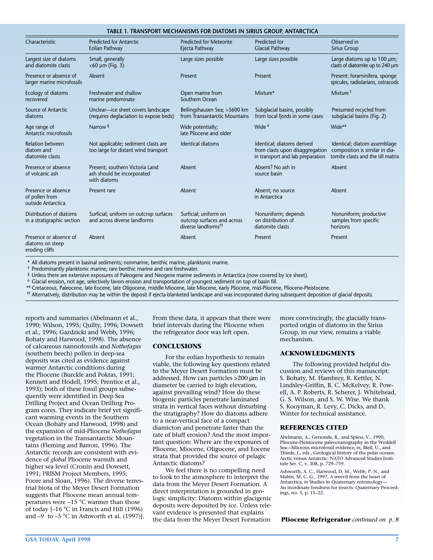| TABLE 1. TRANSPORT MECHANISMS FOR DIATOMS IN SIRIUS GROUP, ANTARCTICA |                                                                               |                                                                                         |                                                                                                   |                                                                                                     |  |  |
|-----------------------------------------------------------------------|-------------------------------------------------------------------------------|-----------------------------------------------------------------------------------------|---------------------------------------------------------------------------------------------------|-----------------------------------------------------------------------------------------------------|--|--|
| Characteristic                                                        | <b>Predicted for Antarctic</b><br>Eolian Pathway                              | <b>Predicted for Meteorite</b><br>Ejecta Pathway                                        | Predicted for<br><b>Glacial Pathway</b>                                                           | Observed in<br>Sirius Group                                                                         |  |  |
| Largest size of diatoms<br>and diatomite clasts                       | Small, generally<br>$<$ 60 $\mu$ m (Fig. 3)                                   | Large sizes possible                                                                    | Large sizes possible                                                                              | Large diatoms up to 100 µm;<br>clasts of diatomite up to 240 µm                                     |  |  |
| Presence or absence of<br>larger marine microfossils                  | Absent                                                                        | Present                                                                                 | Present                                                                                           | Present: foraminifera, sponge<br>spicules, radiolarians, ostracods                                  |  |  |
| Ecology of diatoms<br>recovered                                       | Freshwater and shallow<br>marine predominate                                  | Open marine from<br>Southern Ocean                                                      | Mixture*                                                                                          | Mixture <sup>†</sup>                                                                                |  |  |
| Source of Antarctic<br>diatoms                                        | Unclear-ice sheet covers landscape<br>(requires deglaciation to expose beds)  | Bellingshausen Sea; >3600 km<br>from Transantarctic Mountains                           | Subglacial basins, possibly<br>from local fjords in some cases                                    | Presumed recycled from<br>subglacial basins (Fig. 2)                                                |  |  |
| Age range of<br>Antarctic microfossils                                | Narrow <sup>§</sup>                                                           | Wide potentially;<br>late Pliocene and older                                            | Wide #                                                                                            | Wide**                                                                                              |  |  |
| <b>Relation between</b><br>diatom and<br>diatomite clasts             | Not applicable; sediment clasts are<br>too large for distant wind transport   | <b>Identical diatoms</b>                                                                | Identical; diatoms derived<br>from clasts upon disaggregation<br>in transport and lab preparation | Identical; diatom assemblage<br>composition is similar in dia-<br>tomite clasts and the till matrix |  |  |
| Presence or absence<br>of volcanic ash                                | Present; southern Victoria Land<br>ash should be incorporated<br>with diatoms | Absent                                                                                  | Absent? No ash in<br>source basin                                                                 | Absent                                                                                              |  |  |
| Presence or absence<br>of pollen from<br>outside Antarctica           | Present rare                                                                  | Absent                                                                                  | Absent; no source<br>in Antarctica                                                                | Absent                                                                                              |  |  |
| Distribution of diatoms<br>in a stratigraphic section                 | Surficial; uniform on outcrop surfaces<br>and across diverse landforms        | Surficial; uniform on<br>outcrop surfaces and across<br>diverse landforms <sup>††</sup> | Nonuniform; depends<br>on distribution of<br>diatomite clasts                                     | Nonuniform; productive<br>samples from specific<br>horizons                                         |  |  |
| Presence or absence of<br>diatoms on steep<br>eroding cliffs          | Absent                                                                        | Absent                                                                                  | Present                                                                                           | Present                                                                                             |  |  |

\* All diatoms present in basinal sediments; nonmarine, benthic marine, planktonic marine.

† Predominantly planktonic marine; rare benthic marine and rare freshwater.

§ Unless there are extensive exposures of Paleogene and Neogene marine sediments in Antarctica (now covered by ice sheet).

# Glacial erosion, not age, selectively favors erosion and transportation of youngest sediment on top of basin fill.

\*\* Cretaceous, Paleocene, late Eocene, late Oligocene, middle Miocene, late Miocene, early Pliocene, mid-Pliocene, Pliocene-Pleistocene.

†† Alternatively, distribution may be within the deposit if ejecta blanketed landscape and was incorporated during subsequent deposition of glacial deposits.

reports and summaries (Abelmann et al., 1990; Wilson, 1995; Quilty, 1996; Dowsett et al., 1996; Gazdzicki and Webb, 1996; Bohaty and Harwood, 1998). The absence of calcareous nannofossils and *Nothofagus* (southern beech) pollen in deep-sea deposits was cited as evidence against warmer Antarctic conditions during the Pliocene (Burckle and Pokras, 1991; Kennett and Hodell, 1995; Prentice et al., 1993); both of these fossil groups subsequently were identified in Deep Sea Drilling Project and Ocean Drilling Program cores. They indicate brief yet significant warming events in the Southern Ocean (Bohaty and Harwood, 1998) and the expansion of mid-Pliocene *Nothofagus* vegetation in the Transantarctic Mountains (Fleming and Barron, 1996). The Antarctic records are consistent with evidence of *global* Pliocene warmth and higher sea level (Cronin and Dowsett, 1991; PRISM Project Members, 1995; Poore and Sloan, 1996). The diverse terrestrial biota of the Meyer Desert Formation suggests that Pliocene mean annual temperatures were ~15 °C warmer than those of today [–16 °C in Francis and Hill (1996) and  $-9$  to  $-5$  °C in Ashworth et al. (1997)].

From these data, it appears that there were brief intervals during the Pliocene when the refrigerator door was left open.

#### **CONCLUSIONS**

For the eolian hypothesis to remain viable, the following key questions related to the Meyer Desert Formation must be addressed. How can particles >200 µm in diameter be carried to high elevation, against prevailing wind? How do these biogenic particles penetrate laminated strata in vertical faces without disturbing the stratigraphy? How do diatoms adhere to a near-vertical face of a compact diamicton and penetrate faster than the rate of bluff erosion? And the most important question: Where are the exposures of Pliocene, Miocene, Oligocene, and Eocene strata that provided the source of pelagic Antarctic diatoms?

We feel there is no compelling need to look to the atmosphere to interpret the data from the Meyer Desert Formation. A direct interpretation is grounded in geologic simplicity: Diatoms within glacigenic deposits were deposited by ice. Unless relevant evidence is presented that explains the data from the Meyer Desert Formation

more convincingly, the glacially transported origin of diatoms in the Sirius Group, in our view, remains a viable mechanism.

#### **ACKNOWLEDGMENTS**

The following provided helpful discussion and reviews of this manuscript: S. Bohaty, M. Hambrey, R. Kettler, N. Lindsley-Griffin, B. C. McKelvey, R. Powell, A. P. Roberts, R. Scherer, J. Whitehead, G. S. Wilson, and S. W. Wise. We thank S. Kooyman, R. Levy, C. Dicks, and D. Winter for technical assistance.

#### **REFERENCES CITED**

Abelmann, A., Gersonde, R., and Spiess, V., 1990, Pliocene-Pleistocene paleoceanography in the Weddell Sea—Siliceous microfossil evidence, *in*, Bleil, U., and Thiede, J., eds., Geological history of the polar oceans: Arctic versus Antarctic: NATO Advanced Studies Institute Ser. C, v. 308, p. 729–759.

Ashworth, A. C., Harwood, D. M., Webb, P.-N., and Mabin, M. C. G., 1997, A weevil from the heart of Antarctica, *in* Studies in Quaternary entomology— An inordinate fondness for insects: Quaternary Proceedings, no. 5, p. 15–22.

**Pliocene Refrigerator** *continued on p. 8*